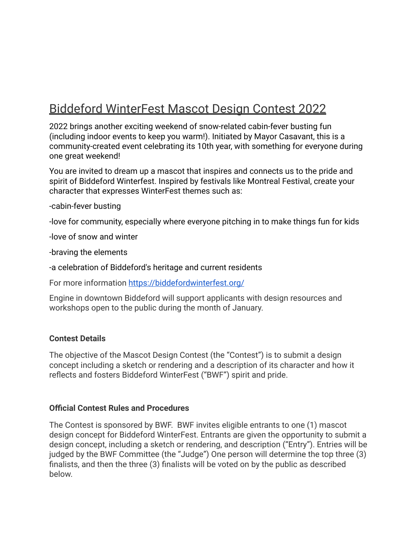# Biddeford WinterFest Mascot Design Contest 2022

2022 brings another exciting weekend of snow-related cabin-fever busting fun (including indoor events to keep you warm!). Initiated by Mayor Casavant, this is a community-created event celebrating its 10th year, with something for everyone during one great weekend!

You are invited to dream up a mascot that inspires and connects us to the pride and spirit of Biddeford Winterfest. Inspired by festivals like Montreal Festival, create your character that expresses WinterFest themes such as:

-cabin-fever busting

-love for community, especially where everyone pitching in to make things fun for kids

-love of snow and winter

-braving the elements

-a celebration of Biddeford's heritage and current residents

For more information <https://biddefordwinterfest.org/>

Engine in downtown Biddeford will support applicants with design resources and workshops open to the public during the month of January.

#### **Contest Details**

The objective of the Mascot Design Contest (the "Contest") is to submit a design concept including a sketch or rendering and a description of its character and how it reflects and fosters Biddeford WinterFest ("BWF") spirit and pride.

#### **Official Contest Rules and Procedures**

The Contest is sponsored by BWF. BWF invites eligible entrants to one (1) mascot design concept for Biddeford WinterFest. Entrants are given the opportunity to submit a design concept, including a sketch or rendering, and description ("Entry"). Entries will be judged by the BWF Committee (the "Judge") One person will determine the top three (3) finalists, and then the three (3) finalists will be voted on by the public as described below.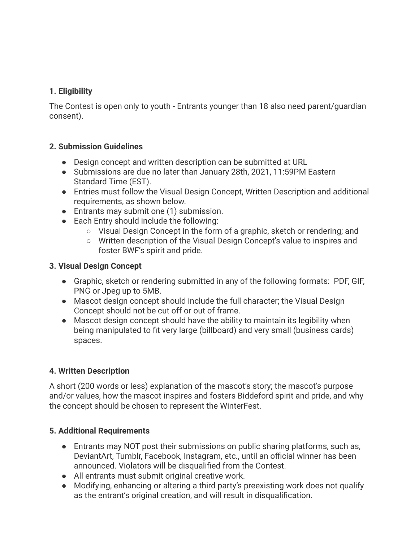## **1. Eligibility**

The Contest is open only to youth - Entrants younger than 18 also need parent/guardian consent).

## **2. Submission Guidelines**

- Design concept and written description can be submitted at URL
- Submissions are due no later than January 28th, 2021, 11:59PM Eastern Standard Time (EST).
- Entries must follow the Visual Design Concept, Written Description and additional requirements, as shown below.
- Entrants may submit one (1) submission.
- Each Entry should include the following:
	- Visual Design Concept in the form of a graphic, sketch or rendering; and
	- Written description of the Visual Design Concept's value to inspires and foster BWF's spirit and pride.

## **3. Visual Design Concept**

- Graphic, sketch or rendering submitted in any of the following formats: PDF, GIF, PNG or Jpeg up to 5MB.
- Mascot design concept should include the full character; the Visual Design Concept should not be cut off or out of frame.
- Mascot design concept should have the ability to maintain its legibility when being manipulated to fit very large (billboard) and very small (business cards) spaces.

## **4. Written Description**

A short (200 words or less) explanation of the mascot's story; the mascot's purpose and/or values, how the mascot inspires and fosters Biddeford spirit and pride, and why the concept should be chosen to represent the WinterFest.

## **5. Additional Requirements**

- Entrants may NOT post their submissions on public sharing platforms, such as, DeviantArt, Tumblr, Facebook, Instagram, etc., until an official winner has been announced. Violators will be disqualified from the Contest.
- All entrants must submit original creative work.
- Modifying, enhancing or altering a third party's preexisting work does not qualify as the entrant's original creation, and will result in disqualification.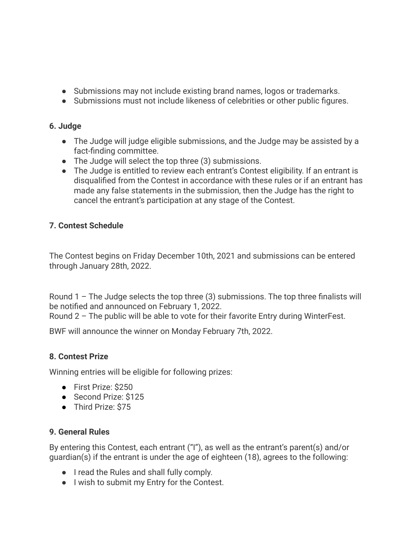- Submissions may not include existing brand names, logos or trademarks.
- Submissions must not include likeness of celebrities or other public figures.

## **6. Judge**

- The Judge will judge eligible submissions, and the Judge may be assisted by a fact-finding committee.
- The Judge will select the top three (3) submissions.
- The Judge is entitled to review each entrant's Contest eligibility. If an entrant is disqualified from the Contest in accordance with these rules or if an entrant has made any false statements in the submission, then the Judge has the right to cancel the entrant's participation at any stage of the Contest.

# **7. Contest Schedule**

The Contest begins on Friday December 10th, 2021 and submissions can be entered through January 28th, 2022.

Round  $1$  – The Judge selects the top three (3) submissions. The top three finalists will be notified and announced on February 1, 2022.

Round 2 – The public will be able to vote for their favorite Entry during WinterFest.

BWF will announce the winner on Monday February 7th, 2022.

## **8. Contest Prize**

Winning entries will be eligible for following prizes:

- First Prize: \$250
- Second Prize: \$125
- Third Prize: \$75

## **9. General Rules**

By entering this Contest, each entrant ("I"), as well as the entrant's parent(s) and/or guardian(s) if the entrant is under the age of eighteen (18), agrees to the following:

- I read the Rules and shall fully comply.
- I wish to submit my Entry for the Contest.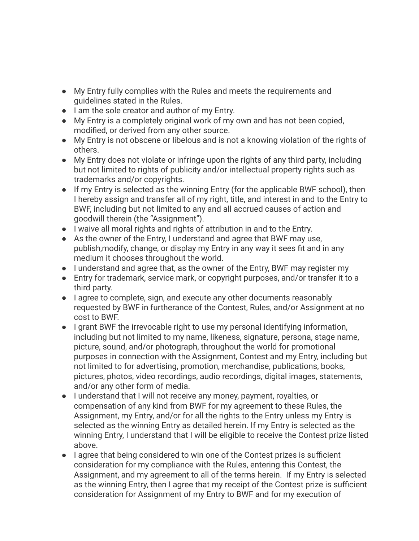- My Entry fully complies with the Rules and meets the requirements and guidelines stated in the Rules.
- I am the sole creator and author of my Entry.
- My Entry is a completely original work of my own and has not been copied, modified, or derived from any other source.
- My Entry is not obscene or libelous and is not a knowing violation of the rights of others.
- My Entry does not violate or infringe upon the rights of any third party, including but not limited to rights of publicity and/or intellectual property rights such as trademarks and/or copyrights.
- If my Entry is selected as the winning Entry (for the applicable BWF school), then I hereby assign and transfer all of my right, title, and interest in and to the Entry to BWF, including but not limited to any and all accrued causes of action and goodwill therein (the "Assignment").
- I waive all moral rights and rights of attribution in and to the Entry.
- As the owner of the Entry, I understand and agree that BWF may use, publish,modify, change, or display my Entry in any way it sees fit and in any medium it chooses throughout the world.
- I understand and agree that, as the owner of the Entry, BWF may register my
- Entry for trademark, service mark, or copyright purposes, and/or transfer it to a third party.
- I agree to complete, sign, and execute any other documents reasonably requested by BWF in furtherance of the Contest, Rules, and/or Assignment at no cost to BWF.
- I grant BWF the irrevocable right to use my personal identifying information, including but not limited to my name, likeness, signature, persona, stage name, picture, sound, and/or photograph, throughout the world for promotional purposes in connection with the Assignment, Contest and my Entry, including but not limited to for advertising, promotion, merchandise, publications, books, pictures, photos, video recordings, audio recordings, digital images, statements, and/or any other form of media.
- I understand that I will not receive any money, payment, royalties, or compensation of any kind from BWF for my agreement to these Rules, the Assignment, my Entry, and/or for all the rights to the Entry unless my Entry is selected as the winning Entry as detailed herein. If my Entry is selected as the winning Entry, I understand that I will be eligible to receive the Contest prize listed above.
- I agree that being considered to win one of the Contest prizes is sufficient consideration for my compliance with the Rules, entering this Contest, the Assignment, and my agreement to all of the terms herein. If my Entry is selected as the winning Entry, then I agree that my receipt of the Contest prize is sufficient consideration for Assignment of my Entry to BWF and for my execution of